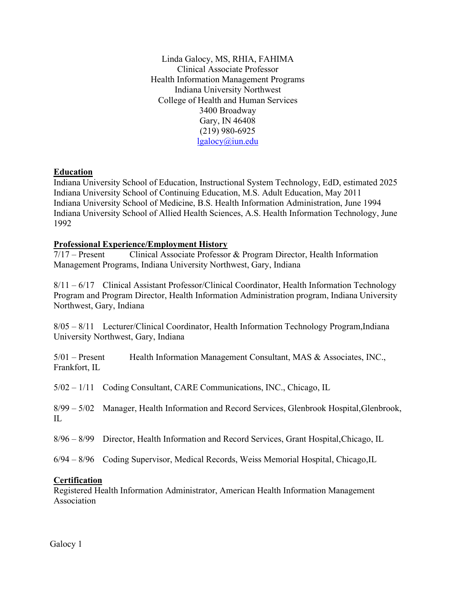Linda Galocy, MS, RHIA, FAHIMA Clinical Associate Professor Health Information Management Programs Indiana University Northwest College of Health and Human Services 3400 Broadway Gary, IN 46408 (219) 980-6925 [lgalocy@iun.edu](mailto:lgalocy@iun.edu)

## **Education**

Indiana University School of Education, Instructional System Technology, EdD, estimated 2025 Indiana University School of Continuing Education, M.S. Adult Education, May 2011 Indiana University School of Medicine, B.S. Health Information Administration, June 1994 Indiana University School of Allied Health Sciences, A.S. Health Information Technology, June 1992

## **Professional Experience/Employment History**

7/17 – Present Clinical Associate Professor & Program Director, Health Information Management Programs, Indiana University Northwest, Gary, Indiana

8/11 – 6/17 Clinical Assistant Professor/Clinical Coordinator, Health Information Technology Program and Program Director, Health Information Administration program, Indiana University Northwest, Gary, Indiana

8/05 – 8/11 Lecturer/Clinical Coordinator, Health Information Technology Program,Indiana University Northwest, Gary, Indiana

5/01 – Present Health Information Management Consultant, MAS & Associates, INC., Frankfort, IL

5/02 – 1/11 Coding Consultant, CARE Communications, INC., Chicago, IL

8/99 – 5/02 Manager, Health Information and Record Services, Glenbrook Hospital,Glenbrook, IL

8/96 – 8/99 Director, Health Information and Record Services, Grant Hospital,Chicago, IL

6/94 – 8/96 Coding Supervisor, Medical Records, Weiss Memorial Hospital, Chicago,IL

## **Certification**

Registered Health Information Administrator, American Health Information Management Association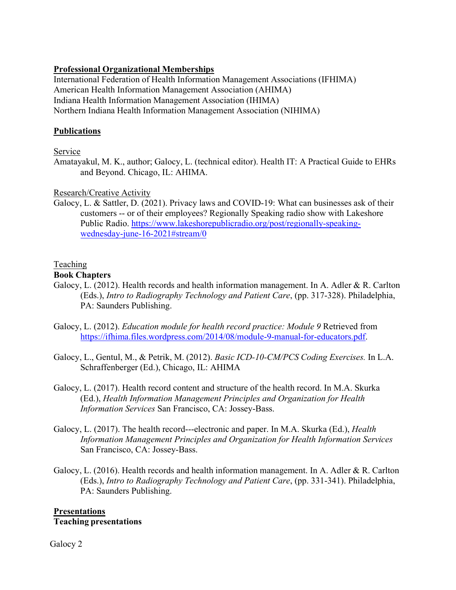# **Professional Organizational Memberships**

International Federation of Health Information Management Associations (IFHIMA) American Health Information Management Association (AHIMA) Indiana Health Information Management Association (IHIMA) Northern Indiana Health Information Management Association (NIHIMA)

# **Publications**

Service

Amatayakul, M. K., author; Galocy, L. (technical editor). Health IT: A Practical Guide to EHRs and Beyond. Chicago, IL: AHIMA.

Research/Creative Activity

Galocy, L. & Sattler, D. (2021). Privacy laws and COVID-19: What can businesses ask of their customers -- or of their employees? Regionally Speaking radio show with Lakeshore Public Radio. [https://www.lakeshorepublicradio.org/post/regionally-speaking](https://www.lakeshorepublicradio.org/post/regionally-speaking-wednesday-june-16-2021%23stream/0)[wednesday-june-16-2021#stream/0](https://www.lakeshorepublicradio.org/post/regionally-speaking-wednesday-june-16-2021%23stream/0)

# **Teaching**

# **Book Chapters**

- Galocy, L. (2012). Health records and health information management. In A. Adler & R. Carlton (Eds.), *Intro to Radiography Technology and Patient Care*, (pp. 317-328). Philadelphia, PA: Saunders Publishing.
- Galocy, L. (2012). *Education module for health record practice: Module 9* Retrieved from [https://ifhima.files.wordpress.com/2014/08/module-9-manual-for-educators.pdf.](https://ifhima.files.wordpress.com/2014/08/module-9-manual-for-educators.pdf)
- Galocy, L., Gentul, M., & Petrik, M. (2012). *Basic ICD-10-CM/PCS Coding Exercises.* In L.A. Schraffenberger (Ed.), Chicago, IL: AHIMA
- Galocy, L. (2017). Health record content and structure of the health record. In M.A. Skurka (Ed.), *Health Information Management Principles and Organization for Health Information Services* San Francisco, CA: Jossey-Bass.
- Galocy, L. (2017). The health record---electronic and paper. In M.A. Skurka (Ed.), *Health Information Management Principles and Organization for Health Information Services* San Francisco, CA: Jossey-Bass.
- Galocy, L. (2016). Health records and health information management. In A. Adler & R. Carlton (Eds.), *Intro to Radiography Technology and Patient Care*, (pp. 331-341). Philadelphia, PA: Saunders Publishing.

## **Presentations Teaching presentations**

Galocy 2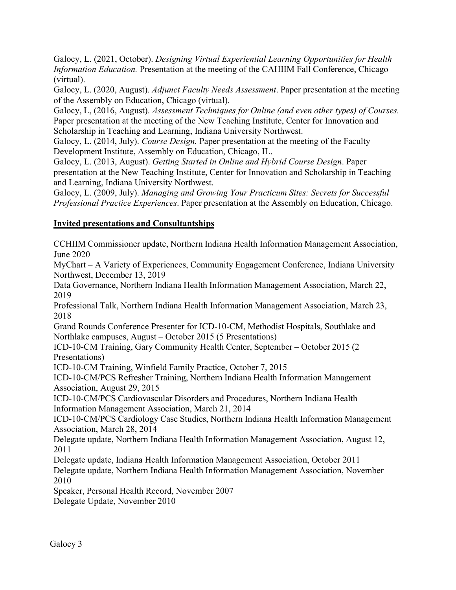Galocy, L. (2021, October). *Designing Virtual Experiential Learning Opportunities for Health Information Education.* Presentation at the meeting of the CAHIIM Fall Conference, Chicago (virtual).

Galocy, L. (2020, August). *Adjunct Faculty Needs Assessment*. Paper presentation at the meeting of the Assembly on Education, Chicago (virtual).

Galocy, L, (2016, August). *Assessment Techniques for Online (and even other types) of Courses.* Paper presentation at the meeting of the New Teaching Institute, Center for Innovation and Scholarship in Teaching and Learning, Indiana University Northwest.

Galocy, L. (2014, July). *Course Design.* Paper presentation at the meeting of the Faculty Development Institute, Assembly on Education, Chicago, IL.

Galocy, L. (2013, August). *Getting Started in Online and Hybrid Course Design*. Paper presentation at the New Teaching Institute, Center for Innovation and Scholarship in Teaching and Learning, Indiana University Northwest.

Galocy, L. (2009, July). *Managing and Growing Your Practicum Sites: Secrets for Successful Professional Practice Experiences*. Paper presentation at the Assembly on Education, Chicago.

# **Invited presentations and Consultantships**

CCHIIM Commissioner update, Northern Indiana Health Information Management Association, June 2020

MyChart – A Variety of Experiences, Community Engagement Conference, Indiana University Northwest, December 13, 2019

Data Governance, Northern Indiana Health Information Management Association, March 22, 2019

Professional Talk, Northern Indiana Health Information Management Association, March 23, 2018

Grand Rounds Conference Presenter for ICD-10-CM, Methodist Hospitals, Southlake and Northlake campuses, August – October 2015 (5 Presentations)

ICD-10-CM Training, Gary Community Health Center, September – October 2015 (2 Presentations)

ICD-10-CM Training, Winfield Family Practice, October 7, 2015

ICD-10-CM/PCS Refresher Training, Northern Indiana Health Information Management Association, August 29, 2015

ICD-10-CM/PCS Cardiovascular Disorders and Procedures, Northern Indiana Health Information Management Association, March 21, 2014

ICD-10-CM/PCS Cardiology Case Studies, Northern Indiana Health Information Management Association, March 28, 2014

Delegate update, Northern Indiana Health Information Management Association, August 12, 2011

Delegate update, Indiana Health Information Management Association, October 2011 Delegate update, Northern Indiana Health Information Management Association, November 2010

Speaker, Personal Health Record, November 2007

Delegate Update, November 2010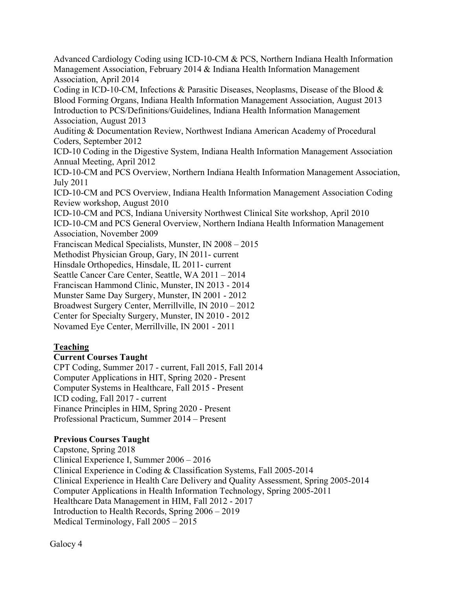Advanced Cardiology Coding using ICD-10-CM & PCS, Northern Indiana Health Information Management Association, February 2014 & Indiana Health Information Management Association, April 2014 Coding in ICD-10-CM, Infections & Parasitic Diseases, Neoplasms, Disease of the Blood & Blood Forming Organs, Indiana Health Information Management Association, August 2013 Introduction to PCS/Definitions/Guidelines, Indiana Health Information Management Association, August 2013 Auditing & Documentation Review, Northwest Indiana American Academy of Procedural Coders, September 2012 ICD-10 Coding in the Digestive System, Indiana Health Information Management Association Annual Meeting, April 2012 ICD-10-CM and PCS Overview, Northern Indiana Health Information Management Association, July 2011 ICD-10-CM and PCS Overview, Indiana Health Information Management Association Coding Review workshop, August 2010 ICD-10-CM and PCS, Indiana University Northwest Clinical Site workshop, April 2010 ICD-10-CM and PCS General Overview, Northern Indiana Health Information Management Association, November 2009 Franciscan Medical Specialists, Munster, IN 2008 – 2015 Methodist Physician Group, Gary, IN 2011- current Hinsdale Orthopedics, Hinsdale, IL 2011- current Seattle Cancer Care Center, Seattle, WA 2011 – 2014 Franciscan Hammond Clinic, Munster, IN 2013 - 2014 Munster Same Day Surgery, Munster, IN 2001 - 2012 Broadwest Surgery Center, Merrillville, IN 2010 – 2012 Center for Specialty Surgery, Munster, IN 2010 - 2012 Novamed Eye Center, Merrillville, IN 2001 - 2011 **Teaching**

# **Current Courses Taught**

CPT Coding, Summer 2017 - current, Fall 2015, Fall 2014 Computer Applications in HIT, Spring 2020 - Present Computer Systems in Healthcare, Fall 2015 - Present ICD coding, Fall 2017 - current Finance Principles in HIM, Spring 2020 - Present Professional Practicum, Summer 2014 – Present

# **Previous Courses Taught**

Capstone, Spring 2018 Clinical Experience I, Summer 2006 – 2016 Clinical Experience in Coding & Classification Systems, Fall 2005-2014 Clinical Experience in Health Care Delivery and Quality Assessment, Spring 2005-2014 Computer Applications in Health Information Technology, Spring 2005-2011 Healthcare Data Management in HIM, Fall 2012 - 2017 Introduction to Health Records, Spring 2006 – 2019 Medical Terminology, Fall 2005 – 2015

Galocy 4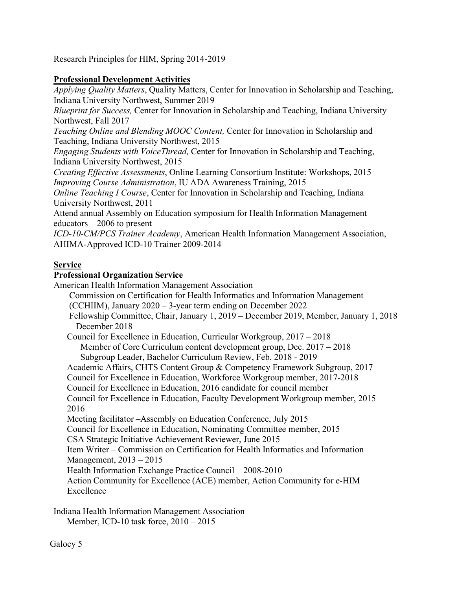Research Principles for HIM, Spring 2014-2019

# **Professional Development Activities**

*Applying Quality Matters*, Quality Matters, Center for Innovation in Scholarship and Teaching, Indiana University Northwest, Summer 2019

*Blueprint for Success,* Center for Innovation in Scholarship and Teaching, Indiana University Northwest, Fall 2017

*Teaching Online and Blending MOOC Content,* Center for Innovation in Scholarship and Teaching, Indiana University Northwest, 2015

*Engaging Students with VoiceThread,* Center for Innovation in Scholarship and Teaching, Indiana University Northwest, 2015

*Creating Effective Assessments*, Online Learning Consortium Institute: Workshops, 2015 *Improving Course Administration*, IU ADA Awareness Training, 2015

*Online Teaching I Course*, Center for Innovation in Scholarship and Teaching, Indiana University Northwest, 2011

Attend annual Assembly on Education symposium for Health Information Management educators – 2006 to present

*ICD-10-CM/PCS Trainer Academy*, American Health Information Management Association, AHIMA-Approved ICD-10 Trainer 2009-2014

# **Service**

# **Professional Organization Service**

American Health Information Management Association Commission on Certification for Health Informatics and Information Management (CCHIIM), January 2020 – 3-year term ending on December 2022 Fellowship Committee, Chair, January 1, 2019 – December 2019, Member, January 1, 2018 – December 2018 Council for Excellence in Education, Curricular Workgroup, 2017 – 2018 Member of Core Curriculum content development group, Dec. 2017 – 2018 Subgroup Leader, Bachelor Curriculum Review, Feb. 2018 - 2019 Academic Affairs, CHTS Content Group & Competency Framework Subgroup, 2017 Council for Excellence in Education, Workforce Workgroup member, 2017-2018 Council for Excellence in Education, 2016 candidate for council member Council for Excellence in Education, Faculty Development Workgroup member, 2015 – 2016 Meeting facilitator –Assembly on Education Conference, July 2015 Council for Excellence in Education, Nominating Committee member, 2015 CSA Strategic Initiative Achievement Reviewer, June 2015 Item Writer – Commission on Certification for Health Informatics and Information Management, 2013 – 2015 Health Information Exchange Practice Council – 2008-2010 Action Community for Excellence (ACE) member, Action Community for e-HIM Excellence

Indiana Health Information Management Association Member, ICD-10 task force, 2010 – 2015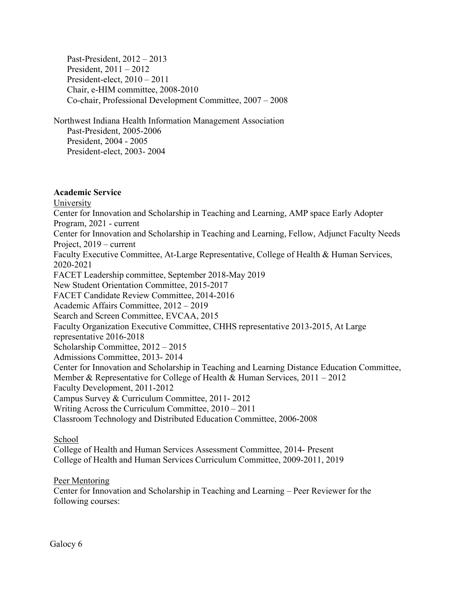Past-President, 2012 – 2013 President, 2011 – 2012 President-elect, 2010 – 2011 Chair, e-HIM committee, 2008-2010 Co-chair, Professional Development Committee, 2007 – 2008

Northwest Indiana Health Information Management Association Past-President, 2005-2006 President, 2004 - 2005 President-elect, 2003- 2004

## **Academic Service**

University Center for Innovation and Scholarship in Teaching and Learning, AMP space Early Adopter Program, 2021 - current Center for Innovation and Scholarship in Teaching and Learning, Fellow, Adjunct Faculty Needs Project, 2019 – current Faculty Executive Committee, At-Large Representative, College of Health & Human Services, 2020-2021 FACET Leadership committee, September 2018-May 2019 New Student Orientation Committee, 2015-2017 FACET Candidate Review Committee, 2014-2016 Academic Affairs Committee, 2012 – 2019 Search and Screen Committee, EVCAA, 2015 Faculty Organization Executive Committee, CHHS representative 2013-2015, At Large representative 2016-2018 Scholarship Committee, 2012 – 2015 Admissions Committee, 2013- 2014 Center for Innovation and Scholarship in Teaching and Learning Distance Education Committee, Member & Representative for College of Health & Human Services, 2011 – 2012 Faculty Development, 2011-2012 Campus Survey & Curriculum Committee, 2011- 2012 Writing Across the Curriculum Committee, 2010 – 2011 Classroom Technology and Distributed Education Committee, 2006-2008

School

College of Health and Human Services Assessment Committee, 2014- Present College of Health and Human Services Curriculum Committee, 2009-2011, 2019

Peer Mentoring

Center for Innovation and Scholarship in Teaching and Learning – Peer Reviewer for the following courses: